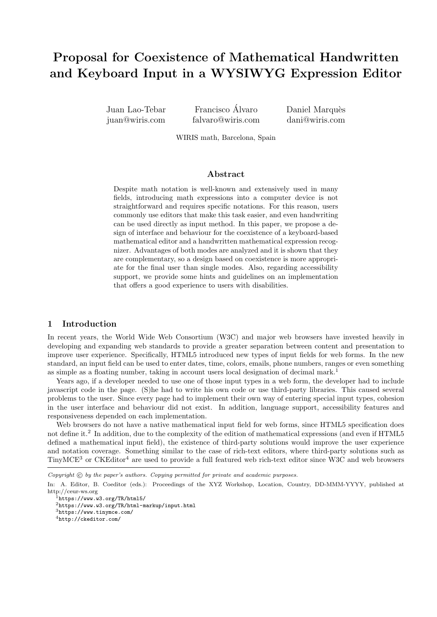# Proposal for Coexistence of Mathematical Handwritten and Keyboard Input in a WYSIWYG Expression Editor

Juan Lao-Tebar juan@wiris.com

Francisco Álvaro falvaro@wiris.com Daniel Marquès dani@wiris.com

WIRIS math, Barcelona, Spain

### Abstract

Despite math notation is well-known and extensively used in many fields, introducing math expressions into a computer device is not straightforward and requires specific notations. For this reason, users commonly use editors that make this task easier, and even handwriting can be used directly as input method. In this paper, we propose a design of interface and behaviour for the coexistence of a keyboard-based mathematical editor and a handwritten mathematical expression recognizer. Advantages of both modes are analyzed and it is shown that they are complementary, so a design based on coexistence is more appropriate for the final user than single modes. Also, regarding accessibility support, we provide some hints and guidelines on an implementation that offers a good experience to users with disabilities.

### 1 Introduction

In recent years, the World Wide Web Consortium (W3C) and major web browsers have invested heavily in developing and expanding web standards to provide a greater separation between content and presentation to improve user experience. Specifically, HTML5 introduced new types of input fields for web forms. In the new standard, an input field can be used to enter dates, time, colors, emails, phone numbers, ranges or even something as simple as a floating number, taking in account users local designation of decimal mark.<sup>1</sup>

Years ago, if a developer needed to use one of those input types in a web form, the developer had to include javascript code in the page. (S)he had to write his own code or use third-party libraries. This caused several problems to the user. Since every page had to implement their own way of entering special input types, cohesion in the user interface and behaviour did not exist. In addition, language support, accessibility features and responsiveness depended on each implementation.

Web browsers do not have a native mathematical input field for web forms, since HTML5 specification does not define it.<sup>2</sup> In addition, due to the complexity of the edition of mathematical expressions (and even if HTML5 defined a mathematical input field), the existence of third-party solutions would improve the user experience and notation coverage. Something similar to the case of rich-text editors, where third-party solutions such as TinyMCE<sup>3</sup> or CKEditor<sup>4</sup> are used to provide a full featured web rich-text editor since W3C and web browsers

Copyright  $\odot$  by the paper's authors. Copying permitted for private and academic purposes.

In: A. Editor, B. Coeditor (eds.): Proceedings of the XYZ Workshop, Location, Country, DD-MMM-YYYY, published at http://ceur-ws.org

 $\frac{1}{1}$ https://www.w3.org/TR/html5/

<sup>2</sup>https://www.w3.org/TR/html-markup/input.html <sup>3</sup>https://www.tinymce.com/

<sup>4</sup>http://ckeditor.com/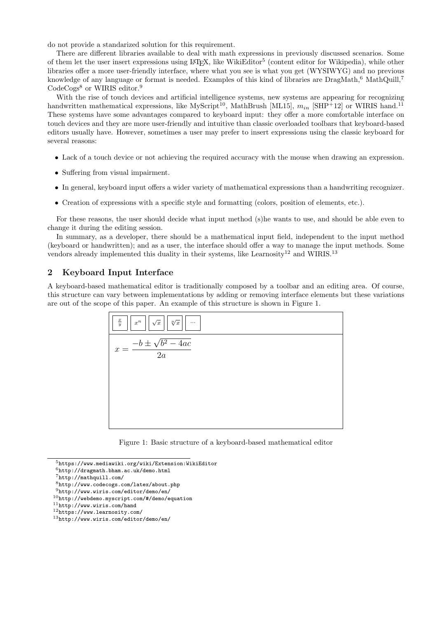do not provide a standarized solution for this requirement.

There are different libraries available to deal with math expressions in previously discussed scenarios. Some of them let the user insert expressions using LAT<sub>E</sub>X, like WikiEditor<sup>5</sup> (content editor for Wikipedia), while other libraries offer a more user-friendly interface, where what you see is what you get (WYSIWYG) and no previous knowledge of any language or format is needed. Examples of this kind of libraries are  $DragMath,6$  MathQuill,<sup>7</sup> CodeCogs<sup>8</sup> or WIRIS editor.<sup>9</sup>

With the rise of touch devices and artificial intelligence systems, new systems are appearing for recognizing handwritten mathematical expressions, like MyScript<sup>10</sup>, MathBrush [ML15],  $m_{in}$  [SHP<sup>+</sup>12] or WIRIS hand.<sup>11</sup> These systems have some advantages compared to keyboard input: they offer a more comfortable interface on touch devices and they are more user-friendly and intuitive than classic overloaded toolbars that keyboard-based editors usually have. However, sometimes a user may prefer to insert expressions using the classic keyboard for several reasons:

- Lack of a touch device or not achieving the required accuracy with the mouse when drawing an expression.
- Suffering from visual impairment.
- In general, keyboard input offers a wider variety of mathematical expressions than a handwriting recognizer.
- Creation of expressions with a specific style and formatting (colors, position of elements, etc.).

For these reasons, the user should decide what input method (s)he wants to use, and should be able even to change it during the editing session.

In summary, as a developer, there should be a mathematical input field, independent to the input method (keyboard or handwritten); and as a user, the interface should offer a way to manage the input methods. Some vendors already implemented this duality in their systems, like Learnosity<sup>12</sup> and WIRIS.<sup>13</sup>

# 2 Keyboard Input Interface

A keyboard-based mathematical editor is traditionally composed by a toolbar and an editing area. Of course, this structure can vary between implementations by adding or removing interface elements but these variations are out of the scope of this paper. An example of this structure is shown in Figure 1.



Figure 1: Basic structure of a keyboard-based mathematical editor

<sup>5</sup>https://www.mediawiki.org/wiki/Extension:WikiEditor

 $6$ http://dragmath.bham.ac.uk/demo.html

<sup>7</sup>http://mathquill.com/

<sup>8</sup>http://www.codecogs.com/latex/about.php

<sup>9</sup>http://www.wiris.com/editor/demo/en/

<sup>10</sup>http://webdemo.myscript.com/#/demo/equation

 $11$ http://www.wiris.com/hand

<sup>12</sup>https://www.learnosity.com/

<sup>13</sup>http://www.wiris.com/editor/demo/en/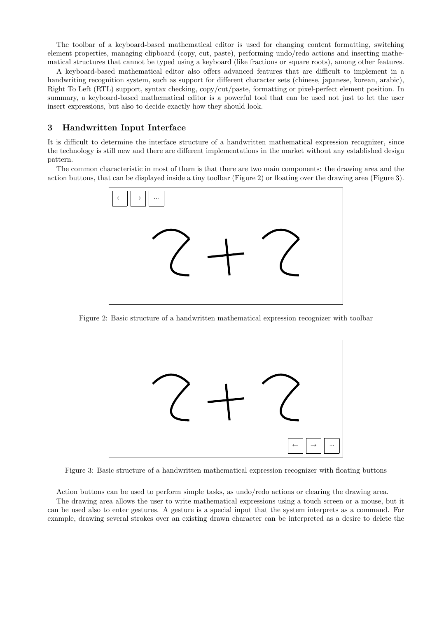The toolbar of a keyboard-based mathematical editor is used for changing content formatting, switching element properties, managing clipboard (copy, cut, paste), performing undo/redo actions and inserting mathematical structures that cannot be typed using a keyboard (like fractions or square roots), among other features.

A keyboard-based mathematical editor also offers advanced features that are difficult to implement in a handwriting recognition system, such as support for different character sets (chinese, japanese, korean, arabic), Right To Left (RTL) support, syntax checking, copy/cut/paste, formatting or pixel-perfect element position. In summary, a keyboard-based mathematical editor is a powerful tool that can be used not just to let the user insert expressions, but also to decide exactly how they should look.

# 3 Handwritten Input Interface

It is difficult to determine the interface structure of a handwritten mathematical expression recognizer, since the technology is still new and there are different implementations in the market without any established design pattern.

The common characteristic in most of them is that there are two main components: the drawing area and the action buttons, that can be displayed inside a tiny toolbar (Figure 2) or floating over the drawing area (Figure 3).



Figure 2: Basic structure of a handwritten mathematical expression recognizer with toolbar



Figure 3: Basic structure of a handwritten mathematical expression recognizer with floating buttons

Action buttons can be used to perform simple tasks, as undo/redo actions or clearing the drawing area.

The drawing area allows the user to write mathematical expressions using a touch screen or a mouse, but it can be used also to enter gestures. A gesture is a special input that the system interprets as a command. For example, drawing several strokes over an existing drawn character can be interpreted as a desire to delete the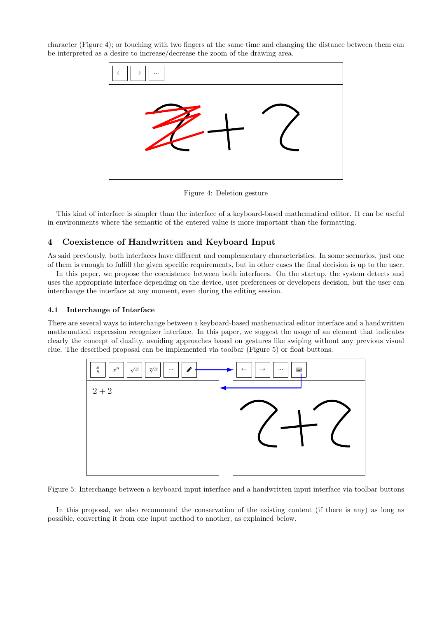character (Figure 4); or touching with two fingers at the same time and changing the distance between them can be interpreted as a desire to increase/decrease the zoom of the drawing area.



Figure 4: Deletion gesture

This kind of interface is simpler than the interface of a keyboard-based mathematical editor. It can be useful in environments where the semantic of the entered value is more important than the formatting.

# 4 Coexistence of Handwritten and Keyboard Input

As said previously, both interfaces have different and complementary characteristics. In some scenarios, just one of them is enough to fulfill the given specific requirements, but in other cases the final decision is up to the user.

In this paper, we propose the coexistence between both interfaces. On the startup, the system detects and uses the appropriate interface depending on the device, user preferences or developers decision, but the user can interchange the interface at any moment, even during the editing session.

### 4.1 Interchange of Interface

There are several ways to interchange between a keyboard-based mathematical editor interface and a handwritten mathematical expression recognizer interface. In this paper, we suggest the usage of an element that indicates clearly the concept of duality, avoiding approaches based on gestures like swiping without any previous visual clue. The described proposal can be implemented via toolbar (Figure 5) or float buttons.



Figure 5: Interchange between a keyboard input interface and a handwritten input interface via toolbar buttons

In this proposal, we also recommend the conservation of the existing content (if there is any) as long as possible, converting it from one input method to another, as explained below.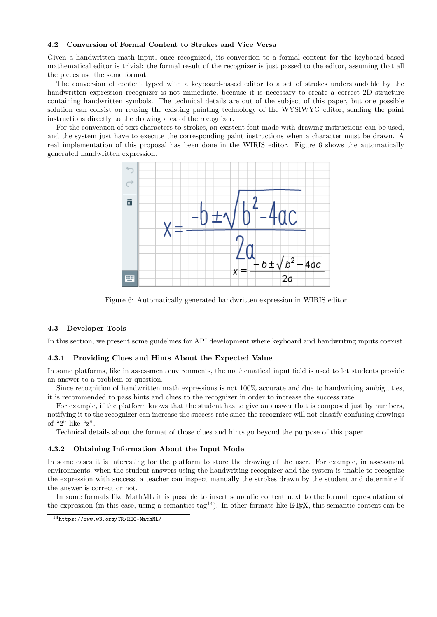### 4.2 Conversion of Formal Content to Strokes and Vice Versa

Given a handwritten math input, once recognized, its conversion to a formal content for the keyboard-based mathematical editor is trivial: the formal result of the recognizer is just passed to the editor, assuming that all the pieces use the same format.

The conversion of content typed with a keyboard-based editor to a set of strokes understandable by the handwritten expression recognizer is not immediate, because it is necessary to create a correct 2D structure containing handwritten symbols. The technical details are out of the subject of this paper, but one possible solution can consist on reusing the existing painting technology of the WYSIWYG editor, sending the paint instructions directly to the drawing area of the recognizer.

For the conversion of text characters to strokes, an existent font made with drawing instructions can be used, and the system just have to execute the corresponding paint instructions when a character must be drawn. A real implementation of this proposal has been done in the WIRIS editor. Figure 6 shows the automatically generated handwritten expression.



Figure 6: Automatically generated handwritten expression in WIRIS editor

#### 4.3 Developer Tools

In this section, we present some guidelines for API development where keyboard and handwriting inputs coexist.

#### 4.3.1 Providing Clues and Hints About the Expected Value

In some platforms, like in assessment environments, the mathematical input field is used to let students provide an answer to a problem or question.

Since recognition of handwritten math expressions is not 100% accurate and due to handwriting ambiguities, it is recommended to pass hints and clues to the recognizer in order to increase the success rate.

For example, if the platform knows that the student has to give an answer that is composed just by numbers, notifying it to the recognizer can increase the success rate since the recognizer will not classify confusing drawings of "2" like "z".

Technical details about the format of those clues and hints go beyond the purpose of this paper.

#### 4.3.2 Obtaining Information About the Input Mode

In some cases it is interesting for the platform to store the drawing of the user. For example, in assessment environments, when the student answers using the handwriting recognizer and the system is unable to recognize the expression with success, a teacher can inspect manually the strokes drawn by the student and determine if the answer is correct or not.

In some formats like MathML it is possible to insert semantic content next to the formal representation of the expression (in this case, using a semantics tag<sup>14</sup>). In other formats like LAT<sub>E</sub>X, this semantic content can be

<sup>14</sup>https://www.w3.org/TR/REC-MathML/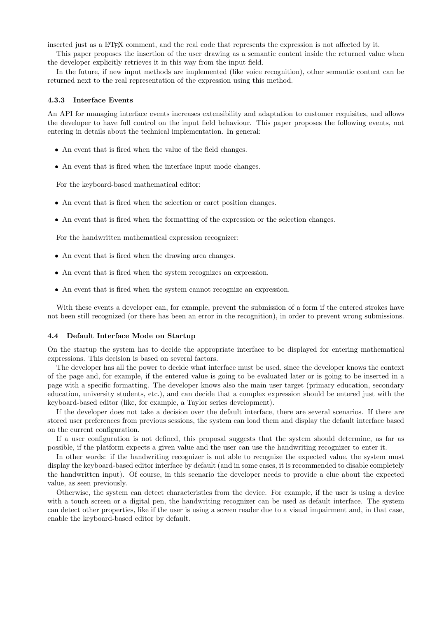inserted just as a LAT<sub>EX</sub> comment, and the real code that represents the expression is not affected by it.

This paper proposes the insertion of the user drawing as a semantic content inside the returned value when the developer explicitly retrieves it in this way from the input field.

In the future, if new input methods are implemented (like voice recognition), other semantic content can be returned next to the real representation of the expression using this method.

#### 4.3.3 Interface Events

An API for managing interface events increases extensibility and adaptation to customer requisites, and allows the developer to have full control on the input field behaviour. This paper proposes the following events, not entering in details about the technical implementation. In general:

- An event that is fired when the value of the field changes.
- An event that is fired when the interface input mode changes.

For the keyboard-based mathematical editor:

- An event that is fired when the selection or caret position changes.
- An event that is fired when the formatting of the expression or the selection changes.

For the handwritten mathematical expression recognizer:

- An event that is fired when the drawing area changes.
- An event that is fired when the system recognizes an expression.
- An event that is fired when the system cannot recognize an expression.

With these events a developer can, for example, prevent the submission of a form if the entered strokes have not been still recognized (or there has been an error in the recognition), in order to prevent wrong submissions.

#### 4.4 Default Interface Mode on Startup

On the startup the system has to decide the appropriate interface to be displayed for entering mathematical expressions. This decision is based on several factors.

The developer has all the power to decide what interface must be used, since the developer knows the context of the page and, for example, if the entered value is going to be evaluated later or is going to be inserted in a page with a specific formatting. The developer knows also the main user target (primary education, secondary education, university students, etc.), and can decide that a complex expression should be entered just with the keyboard-based editor (like, for example, a Taylor series development).

If the developer does not take a decision over the default interface, there are several scenarios. If there are stored user preferences from previous sessions, the system can load them and display the default interface based on the current configuration.

If a user configuration is not defined, this proposal suggests that the system should determine, as far as possible, if the platform expects a given value and the user can use the handwriting recognizer to enter it.

In other words: if the handwriting recognizer is not able to recognize the expected value, the system must display the keyboard-based editor interface by default (and in some cases, it is recommended to disable completely the handwritten input). Of course, in this scenario the developer needs to provide a clue about the expected value, as seen previously.

Otherwise, the system can detect characteristics from the device. For example, if the user is using a device with a touch screen or a digital pen, the handwriting recognizer can be used as default interface. The system can detect other properties, like if the user is using a screen reader due to a visual impairment and, in that case, enable the keyboard-based editor by default.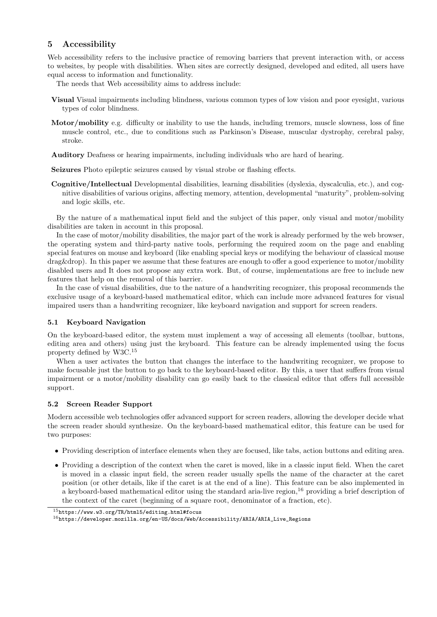# 5 Accessibility

Web accessibility refers to the inclusive practice of removing barriers that prevent interaction with, or access to websites, by people with disabilities. When sites are correctly designed, developed and edited, all users have equal access to information and functionality.

The needs that Web accessibility aims to address include:

- Visual Visual impairments including blindness, various common types of low vision and poor eyesight, various types of color blindness.
- Motor/mobility e.g. difficulty or inability to use the hands, including tremors, muscle slowness, loss of fine muscle control, etc., due to conditions such as Parkinson's Disease, muscular dystrophy, cerebral palsy, stroke.
- Auditory Deafness or hearing impairments, including individuals who are hard of hearing.

Seizures Photo epileptic seizures caused by visual strobe or flashing effects.

Cognitive/Intellectual Developmental disabilities, learning disabilities (dyslexia, dyscalculia, etc.), and cognitive disabilities of various origins, affecting memory, attention, developmental "maturity", problem-solving and logic skills, etc.

By the nature of a mathematical input field and the subject of this paper, only visual and motor/mobility disabilities are taken in account in this proposal.

In the case of motor/mobility disabilities, the major part of the work is already performed by the web browser, the operating system and third-party native tools, performing the required zoom on the page and enabling special features on mouse and keyboard (like enabling special keys or modifying the behaviour of classical mouse drag&drop). In this paper we assume that these features are enough to offer a good experience to motor/mobility disabled users and It does not propose any extra work. But, of course, implementations are free to include new features that help on the removal of this barrier.

In the case of visual disabilities, due to the nature of a handwriting recognizer, this proposal recommends the exclusive usage of a keyboard-based mathematical editor, which can include more advanced features for visual impaired users than a handwriting recognizer, like keyboard navigation and support for screen readers.

## 5.1 Keyboard Navigation

On the keyboard-based editor, the system must implement a way of accessing all elements (toolbar, buttons, editing area and others) using just the keyboard. This feature can be already implemented using the focus property defined by W3C.<sup>15</sup>

When a user activates the button that changes the interface to the handwriting recognizer, we propose to make focusable just the button to go back to the keyboard-based editor. By this, a user that suffers from visual impairment or a motor/mobility disability can go easily back to the classical editor that offers full accessible support.

## 5.2 Screen Reader Support

Modern accessible web technologies offer advanced support for screen readers, allowing the developer decide what the screen reader should synthesize. On the keyboard-based mathematical editor, this feature can be used for two purposes:

- Providing description of interface elements when they are focused, like tabs, action buttons and editing area.
- Providing a description of the context when the caret is moved, like in a classic input field. When the caret is moved in a classic input field, the screen reader usually spells the name of the character at the caret position (or other details, like if the caret is at the end of a line). This feature can be also implemented in a keyboard-based mathematical editor using the standard aria-live region,<sup>16</sup> providing a brief description of the context of the caret (beginning of a square root, denominator of a fraction, etc).

<sup>15</sup>https://www.w3.org/TR/html5/editing.html#focus

<sup>16</sup>https://developer.mozilla.org/en-US/docs/Web/Accessibility/ARIA/ARIA\_Live\_Regions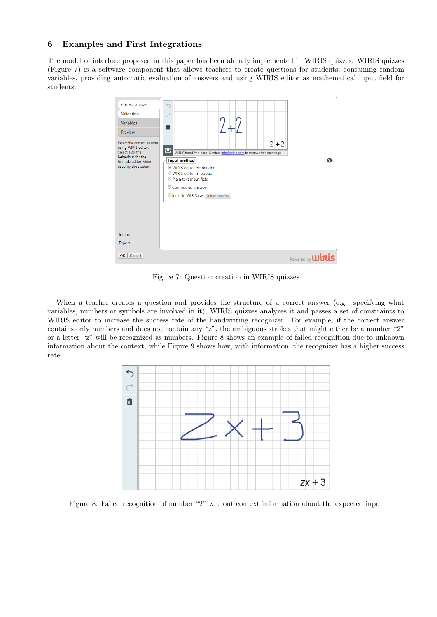# 6 Examples and First Integrations

The model of interface proposed in this paper has been already implemented in WIRIS quizzes. WIRIS quizzes (Figure 7) is a software component that allows teachers to create questions for students, containing random variables, providing automatic evaluation of answers and using WIRIS editor as mathematical input field for students.



Figure 7: Question creation in WIRIS quizzes

When a teacher creates a question and provides the structure of a correct answer (e.g. specifying what variables, numbers or symbols are involved in it), WIRIS quizzes analyzes it and passes a set of constraints to WIRIS editor to increase the success rate of the handwriting recognizer. For example, if the correct answer contains only numbers and does not contain any "z", the ambiguous strokes that might either be a number "2" or a letter "z" will be recognized as numbers. Figure 8 shows an example of failed recognition due to unknown information about the context, while Figure 9 shows how, with information, the recognizer has a higher success rate.



Figure 8: Failed recognition of number "2" without context information about the expected input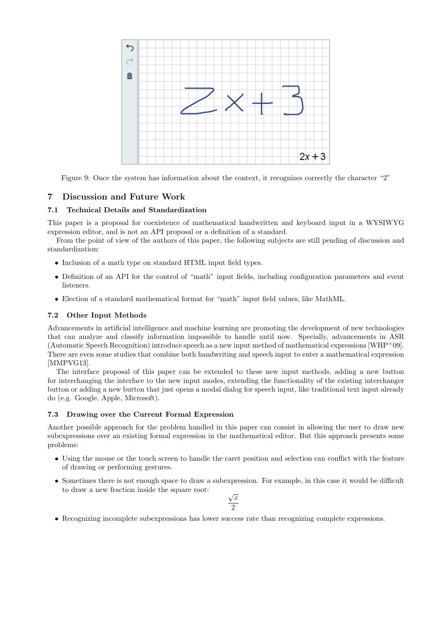

Figure 9: Once the system has information about the context, it recognizes correctly the character "2"

# 7 Discussion and Future Work

# 7.1 Technical Details and Standardization

This paper is a proposal for coexistence of mathematical handwritten and keyboard input in a WYSIWYG expression editor, and is not an API proposal or a definition of a standard.

From the point of view of the authors of this paper, the following subjects are still pending of discussion and standardization:

- Inclusion of a math type on standard HTML input field types.
- Definition of an API for the control of "math" input fields, including configuration parameters and event listeners.
- Election of a standard mathematical format for "math" input field values, like MathML.

## 7.2 Other Input Methods

Advancements in artificial intelligence and machine learning are promoting the development of new technologies that can analyze and classify information impossible to handle until now. Specially, advancements in ASR (Automatic Speech Recognition) introduce speech as a new input method of mathematical expressions  $[WHP+09]$ . There are even some studies that combine both handwriting and speech input to enter a mathematical expression [MMPVG13].

The interface proposal of this paper can be extended to these new input methods, adding a new button for interchanging the interface to the new input modes, extending the functionality of the existing interchanger button or adding a new button that just opens a modal dialog for speech input, like traditional text input already do (e.g. Google, Apple, Microsoft).

## 7.3 Drawing over the Current Formal Expression

Another possible approach for the problem handled in this paper can consist in allowing the user to draw new subexpressions over an existing formal expression in the mathematical editor. But this approach presents some problems:

- Using the mouse or the touch screen to handle the caret position and selection can conflict with the feature of drawing or performing gestures.
- Sometimes there is not enough space to draw a subexpression. For example, in this case it would be difficult to draw a new fraction inside the square root: √

$$
\frac{\sqrt{x}}{2}
$$

• Recognizing incomplete subexpressions has lower success rate than recognizing complete expressions.